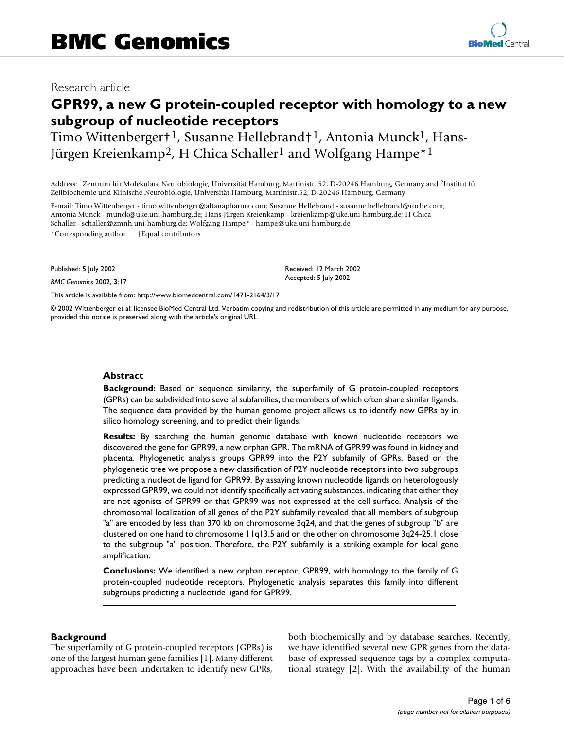## Research article

# **GPR99, a new G protein-coupled receptor with homology to a new subgroup of nucleotide receptors**

Timo Wittenberger†<sup>1</sup>, Susanne Hellebrand†<sup>1</sup>, Antonia Munck<sup>1</sup>, Hans-Jürgen Kreienkamp<sup>2</sup>, H Chica Schaller<sup>1</sup> and Wolfgang Hampe<sup>\*1</sup>

Address: 1Zentrum für Molekulare Neurobiologie, Universität Hamburg, Martinistr. 52, D-20246 Hamburg, Germany and 2Institut für Zellbiochemie und Klinische Neurobiologie, Universität Hamburg, Martinistr.52, D-20246 Hamburg, Germany

E-mail: Timo Wittenberger - timo.wittenberger@altanapharma.com; Susanne Hellebrand - susanne.hellebrand@roche.com; Antonia Munck - munck@uke.uni-hamburg.de; Hans-Jürgen Kreienkamp - kreienkamp@uke.uni-hamburg.de; H Chica Schaller - schaller@zmnh.uni-hamburg.de; Wolfgang Hampe\* - hampe@uke.uni-hamburg.de \*Corresponding author †Equal contributors

Published: 5 July 2002

*BMC Genomics* 2002, **3**:17

[This article is available from: http://www.biomedcentral.com/1471-2164/3/17](http://www.biomedcentral.com/1471-2164/3/17)

© 2002 Wittenberger et al; licensee BioMed Central Ltd. Verbatim copying and redistribution of this article are permitted in any medium for any purpose, provided this notice is preserved along with the article's original URL.

Received: 12 March 2002 Accepted: 5 July 2002

#### **Abstract**

**Background:** Based on sequence similarity, the superfamily of G protein-coupled receptors (GPRs) can be subdivided into several subfamilies, the members of which often share similar ligands. The sequence data provided by the human genome project allows us to identify new GPRs by in silico homology screening, and to predict their ligands.

**Results:** By searching the human genomic database with known nucleotide receptors we discovered the gene for GPR99, a new orphan GPR. The mRNA of GPR99 was found in kidney and placenta. Phylogenetic analysis groups GPR99 into the P2Y subfamily of GPRs. Based on the phylogenetic tree we propose a new classification of P2Y nucleotide receptors into two subgroups predicting a nucleotide ligand for GPR99. By assaying known nucleotide ligands on heterologously expressed GPR99, we could not identify specifically activating substances, indicating that either they are not agonists of GPR99 or that GPR99 was not expressed at the cell surface. Analysis of the chromosomal localization of all genes of the P2Y subfamily revealed that all members of subgroup "a" are encoded by less than 370 kb on chromosome 3q24, and that the genes of subgroup "b" are clustered on one hand to chromosome 11q13.5 and on the other on chromosome 3q24-25.1 close to the subgroup "a" position. Therefore, the P2Y subfamily is a striking example for local gene amplification.

**Conclusions:** We identified a new orphan receptor, GPR99, with homology to the family of G protein-coupled nucleotide receptors. Phylogenetic analysis separates this family into different subgroups predicting a nucleotide ligand for GPR99.

#### **Background**

The superfamily of G protein-coupled receptors (GPRs) is one of the largest human gene families [1]. Many different approaches have been undertaken to identify new GPRs, both biochemically and by database searches. Recently, we have identified several new GPR genes from the database of expressed sequence tags by a complex computational strategy [2]. With the availability of the human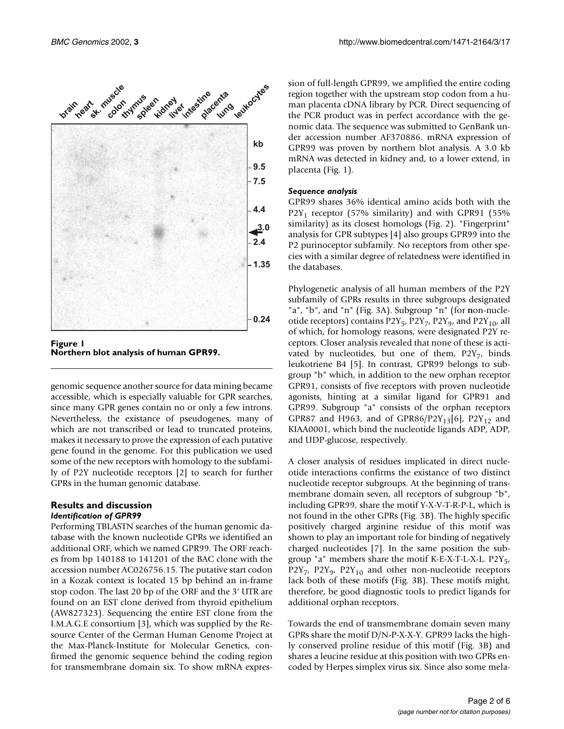



genomic sequence another source for data mining became accessible, which is especially valuable for GPR searches, since many GPR genes contain no or only a few introns. Nevertheless, the existance of pseudogenes, many of which are not transcribed or lead to truncated proteins, makes it necessary to prove the expression of each putative gene found in the genome. For this publication we used some of the new receptors with homology to the subfamily of P2Y nucleotide receptors [2] to search for further GPRs in the human genomic database.

#### **Results and discussion** *Identification of GPR99*

Performing TBLASTN searches of the human genomic database with the known nucleotide GPRs we identified an additional ORF, which we named GPR99. The ORF reaches from bp 140188 to 141201 of the BAC clone with the accession number AC026756.15. The putative start codon in a Kozak context is located 15 bp behind an in-frame stop codon. The last 20 bp of the ORF and the 3' UTR are found on an EST clone derived from thyroid epithelium (AW827323). Sequencing the entire EST clone from the I.M.A.G.E consortium [3], which was supplied by the Resource Center of the German Human Genome Project at the Max-Planck-Institute for Molecular Genetics, confirmed the genomic sequence behind the coding region for transmembrane domain six. To show mRNA expression of full-length GPR99, we amplified the entire coding region together with the upstream stop codon from a human placenta cDNA library by PCR. Direct sequencing of the PCR product was in perfect accordance with the genomic data. The sequence was submitted to GenBank under accession number AF370886. mRNA expression of GPR99 was proven by northern blot analysis. A 3.0 kb mRNA was detected in kidney and, to a lower extend, in placenta (Fig. 1).

#### *Sequence analysis*

GPR99 shares 36% identical amino acids both with the  $P2Y_1$  receptor (57% similarity) and with GPR91 (55% similarity) as its closest homologs (Fig. 2). "Fingerprint" analysis for GPR subtypes [4] also groups GPR99 into the P2 purinoceptor subfamily. No receptors from other species with a similar degree of relatedness were identified in the databases.

Phylogenetic analysis of all human members of the P2Y subfamily of GPRs results in three subgroups designated "a", "b", and "n" (Fig. 3A). Subgroup "n" (for **n**on-nucleotide receptors) contains  $P2Y_5$ ,  $P2Y_7$ ,  $P2Y_9$ , and  $P2Y_{10}$ , all of which, for homology reasons, were designated P2Y receptors. Closer analysis revealed that none of these is activated by nucleotides, but one of them,  $P2Y_7$ , binds leukotriene B4 [5]. In contrast, GPR99 belongs to subgroup "b" which, in addition to the new orphan receptor GPR91, consists of five receptors with proven nucleotide agonists, hinting at a similar ligand for GPR91 and GPR99. Subgroup "a" consists of the orphan receptors GPR87 and H963, and of GPR86/P2Y<sub>13</sub>[6], P2Y<sub>12</sub> and KIAA0001, which bind the nucleotide ligands ADP, ADP, and UDP-glucose, respectively.

A closer analysis of residues implicated in direct nucleotide interactions confirms the existance of two distinct nucleotide receptor subgroups. At the beginning of transmembrane domain seven, all receptors of subgroup "b", including GPR99, share the motif Y-X-V-T-R-P-L, which is not found in the other GPRs (Fig. 3B). The highly specific positively charged arginine residue of this motif was shown to play an important role for binding of negatively charged nucleotides [7]. In the same position the subgroup "a" members share the motif K-E-X-T-L-X-L.  $P2Y_{5}$ ,  $P2Y_7$ ,  $P2Y_9$ ,  $P2Y_{10}$  and other non-nucleotide receptors lack both of these motifs (Fig. 3B). These motifs might, therefore, be good diagnostic tools to predict ligands for additional orphan receptors.

Towards the end of transmembrane domain seven many GPRs share the motif D/N-P-X-X-Y. GPR99 lacks the highly conserved proline residue of this motif (Fig. 3B) and shares a leucine residue at this position with two GPRs encoded by Herpes simplex virus six. Since also some mela-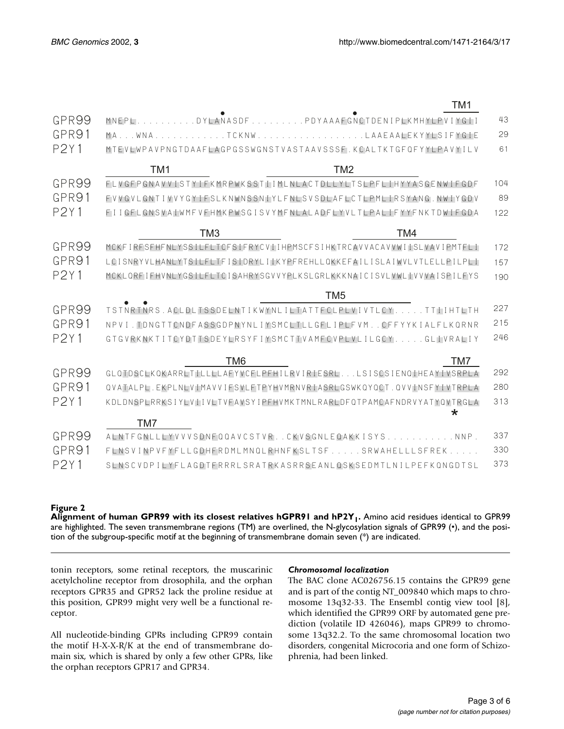|             | TM <sub>1</sub>                                                          |     |
|-------------|--------------------------------------------------------------------------|-----|
| GPR99       | MNEPLDYLANASDFPDYAAAFGNCTDENIPLKMHYLPVIYGII                              | 43  |
| GPR91       | MAWNATCKNWLAAEAALEKYYLSIFYGIE                                            | 29  |
| <b>P2Y1</b> | MTEVIWPAVPNGTDAAFIAGPGSSWGNSTVASTAAVSSSE, KCAI TKTGFOFYYLPAVYILV         | 61  |
|             | TM <sub>1</sub><br>TM <sub>2</sub>                                       |     |
| GPR99       | FLVGFPGNAVVISTYIFKMRPWKSSTIIMLNLACTDLLYLTSLPFLIHYYASGENWIFGDF            | 104 |
| GPR91       | FVVGVLGNTIVVYGYIFSLKNWNSSNIYLFNLSVSDLAFLCTLPMLIRSYANG.NWIYGDV            | 89  |
| <b>P2Y1</b> | FIIGFLGNSVAIWMFVFHMKPWSGISVYMFNLALADFLYVLTLPALIFYYFNKTDWIFGDA            | 122 |
|             | TM <sub>3</sub><br>TM4                                                   |     |
| GPR99       | MCKFIRFSFHFNLYSSILFLTCFSIFRYCVIIHPMSCFSIHKTRCAVVACAVVWIISLVAVIPMTFLI     | 172 |
| GPR91       | LCISNRYVLHANLYTSILFLTFISIDRYLIIKYPFREHLLQKKEFAILISLAIWVLVTLELLPILPLI     | 157 |
| <b>P2Y1</b> | MCKLORFIFHVNLYGSILFLTCISAHRYSGVVYPLKSLGRLKKKNAICISVLVWLIVVVAISPILFYS     | 190 |
|             | TM <sub>5</sub>                                                          |     |
| GPR99       | TSTNRTNRS.ACLDLTSSDELNTIKWYNLILTATTFCLPLVIVTLCYTTLIHTLTH                 | 227 |
| GPR91       | NPVI. TDNGTTCNDFASSGDPNYNLIYSMCLTLLGFLIPLFVMCFFYYKIALFLKQRNR             | 215 |
| <b>P2Y1</b> | GTGVRKNKTITCYDTTSDEYLRSYFIYSMCTTVAMFCVPLVLILGCYGLIVRALIY                 | 246 |
|             | TM <sub>6</sub><br>TM7                                                   |     |
| GPR99       | GLQTDSCLKQKARRLTILLLLLAFYVCFLPFHILRVIRIESRLLSISCSIENQIHEAYIVSRPLA        | 292 |
| GPR91       | QVATALPL.EKPLNLVIMAVVIFSVLFTPYHVMRNVRIASRLGSWKQYQCT.QVVINSFYIVTRPLA      | 280 |
| <b>P2Y1</b> | KDLDNSPLRRKSIYLVIIVLTVFAVSYIPFHVMKTMNLRARLDFQTPAMCAFNDRVYATYQVTRGLA<br>* | 313 |
|             | TM7                                                                      |     |
| GPR99       | ALNTFGNLLLYVVVSDNFQQAVCSTVRCKVSGNLEQAKKISYSNNP.                          | 337 |
| GPR91       | FLNSVINPVFYFLLGDHFRDMLMNQLRHNFKSLTSFSRWAHELLLSFREK                       | 330 |
| P2Y1        | SINSCVDPILYFIAGDTERRRISRATRKASRRSFANIOSKSFDMTINIIPFFKONGDTSI             | 373 |

#### **Figure 2**

Alignment of human GPR99 with its closest relatives hGPR91 and hP2Y<sub>1</sub>. Amino acid residues identical to GPR99 are highlighted. The seven transmembrane regions (TM) are overlined, the N-glycosylation signals of GPR99 (•), and the position of the subgroup-specific motif at the beginning of transmembrane domain seven (\*) are indicated.

tonin receptors, some retinal receptors, the muscarinic acetylcholine receptor from drosophila, and the orphan receptors GPR35 and GPR52 lack the proline residue at this position, GPR99 might very well be a functional receptor.

All nucleotide-binding GPRs including GPR99 contain the motif H-X-X-R/K at the end of transmembrane domain six, which is shared by only a few other GPRs, like the orphan receptors GPR17 and GPR34.

#### *Chromosomal localization*

The BAC clone AC026756.15 contains the GPR99 gene and is part of the contig NT\_009840 which maps to chromosome 13q32-33. The Ensembl contig view tool [8], which identified the GPR99 ORF by automated gene prediction (volatile ID 426046), maps GPR99 to chromosome 13q32.2. To the same chromosomal location two disorders, congenital Microcoria and one form of Schizophrenia, had been linked.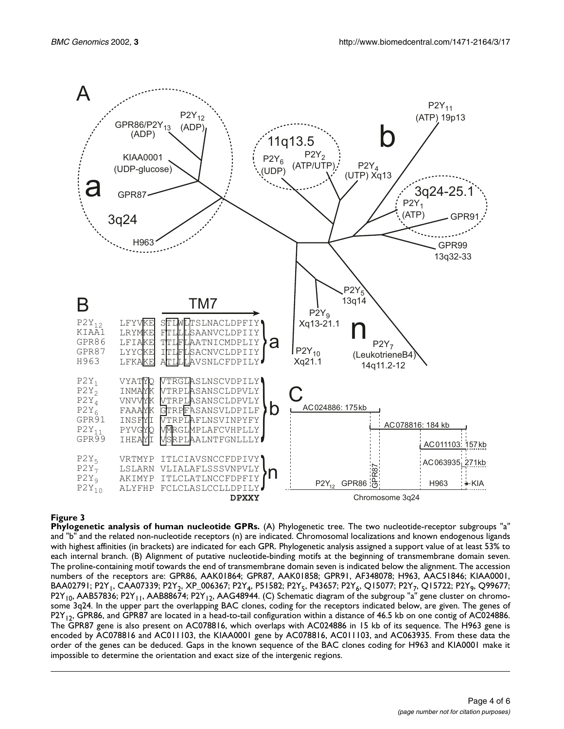

## **Figure 3**

**Phylogenetic analysis of human nucleotide GPRs.** (A) Phylogenetic tree. The two nucleotide-receptor subgroups "a" and "b" and the related non-nucleotide receptors (n) are indicated. Chromosomal localizations and known endogenous ligands with highest affinities (in brackets) are indicated for each GPR. Phylogenetic analysis assigned a support value of at least 53% to each internal branch. (B) Alignment of putative nucleotide-binding motifs at the beginning of transmembrane domain seven. The proline-containing motif towards the end of transmembrane domain seven is indicated below the alignment. The accession numbers of the receptors are: GPR86, AAK01864; GPR87, AAK01858; GPR91, AF348078; H963, AAC51846; KIAA0001, BAA02791; P2Y<sub>1</sub>, CAA07339; P2Y<sub>2</sub>, XP\_006367; P2Y<sub>4</sub>, P51582; P2Y<sub>5</sub>, P43657; P2Y<sub>6</sub>, Q15077; P2Y<sub>7</sub>, Q15722; P2Y<sub>9</sub>, Q99677;  $P2Y_{10}$ , AAB57836; P2Y<sub>11</sub>, AAB88674; P2Y<sub>12</sub>, AAG48944. (C) Schematic diagram of the subgroup "a" gene cluster on chromosome 3q24. In the upper part the overlapping BAC clones, coding for the receptors indicated below, are given. The genes of  $P2Y_{12}$ , GPR86, and GPR87 are located in a head-to-tail configuration within a distance of 46.5 kb on one contig of AC024886. The GPR87 gene is also present on AC078816, which overlaps with AC024886 in 15 kb of its sequence. The H963 gene is encoded by AC078816 and AC011103, the KIAA0001 gene by AC078816, AC011103, and AC063935. From these data the order of the genes can be deduced. Gaps in the known sequence of the BAC clones coding for H963 and KIA0001 make it impossible to determine the orientation and exact size of the intergenic regions.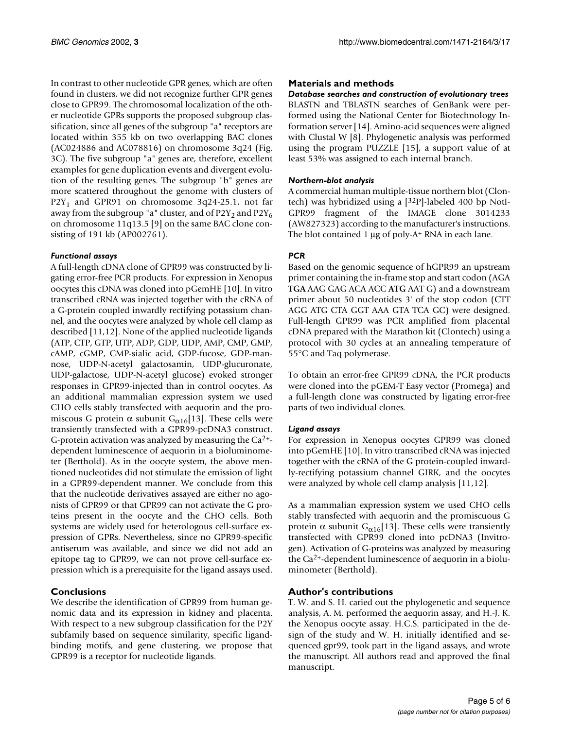In contrast to other nucleotide GPR genes, which are often found in clusters, we did not recognize further GPR genes close to GPR99. The chromosomal localization of the other nucleotide GPRs supports the proposed subgroup classification, since all genes of the subgroup "a" receptors are located within 355 kb on two overlapping BAC clones (AC024886 and AC078816) on chromosome 3q24 (Fig. 3C). The five subgroup "a" genes are, therefore, excellent examples for gene duplication events and divergent evolution of the resulting genes. The subgroup "b" genes are more scattered throughout the genome with clusters of P2Y<sub>1</sub> and GPR91 on chromosome 3q24-25.1, not far away from the subgroup "a" cluster, and of  $P2Y_2$  and  $P2Y_6$ on chromosome 11q13.5 [9] on the same BAC clone consisting of 191 kb (AP002761).

#### *Functional assays*

A full-length cDNA clone of GPR99 was constructed by ligating error-free PCR products. For expression in Xenopus oocytes this cDNA was cloned into pGemHE [10]. In vitro transcribed cRNA was injected together with the cRNA of a G-protein coupled inwardly rectifying potassium channel, and the oocytes were analyzed by whole cell clamp as described [11,12]. None of the applied nucleotide ligands (ATP, CTP, GTP, UTP, ADP, GDP, UDP, AMP, CMP, GMP, cAMP, cGMP, CMP-sialic acid, GDP-fucose, GDP-mannose, UDP-N-acetyl galactosamin, UDP-glucuronate, UDP-galactose, UDP-N-acetyl glucose) evoked stronger responses in GPR99-injected than in control oocytes. As an additional mammalian expression system we used CHO cells stably transfected with aequorin and the promiscous G protein  $\alpha$  subunit G<sub> $\alpha$ 16</sub>[13]. These cells were transiently transfected with a GPR99-pcDNA3 construct. G-protein activation was analyzed by measuring the  $Ca^{2+}$ dependent luminescence of aequorin in a bioluminometer (Berthold). As in the oocyte system, the above mentioned nucleotides did not stimulate the emission of light in a GPR99-dependent manner. We conclude from this that the nucleotide derivatives assayed are either no agonists of GPR99 or that GPR99 can not activate the G proteins present in the oocyte and the CHO cells. Both systems are widely used for heterologous cell-surface expression of GPRs. Nevertheless, since no GPR99-specific antiserum was available, and since we did not add an epitope tag to GPR99, we can not prove cell-surface expression which is a prerequisite for the ligand assays used.

## **Conclusions**

We describe the identification of GPR99 from human genomic data and its expression in kidney and placenta. With respect to a new subgroup classification for the P2Y subfamily based on sequence similarity, specific ligandbinding motifs, and gene clustering, we propose that GPR99 is a receptor for nucleotide ligands.

### **Materials and methods**

*Database searches and construction of evolutionary trees* BLASTN and TBLASTN searches of GenBank were performed using the National Center for Biotechnology Information server [14]. Amino-acid sequences were aligned with Clustal W [8]. Phylogenetic analysis was performed using the program PUZZLE [15], a support value of at least 53% was assigned to each internal branch.

#### *Northern-blot analysis*

A commercial human multiple-tissue northern blot (Clontech) was hybridized using a [32P]-labeled 400 bp NotI-GPR99 fragment of the IMAGE clone 3014233 (AW827323) according to the manufacturer's instructions. The blot contained 1  $\mu$ g of poly-A<sup>+</sup> RNA in each lane.

### *PCR*

Based on the genomic sequence of hGPR99 an upstream primer containing the in-frame stop and start codon (AGA **TGA** AAG GAG ACA ACC **ATG** AAT G) and a downstream primer about 50 nucleotides 3' of the stop codon (CTT AGG ATG CTA GGT AAA GTA TCA GC) were designed. Full-length GPR99 was PCR amplified from placental cDNA prepared with the Marathon kit (Clontech) using a protocol with 30 cycles at an annealing temperature of 55°C and Taq polymerase.

To obtain an error-free GPR99 cDNA, the PCR products were cloned into the pGEM-T Easy vector (Promega) and a full-length clone was constructed by ligating error-free parts of two individual clones.

#### *Ligand assays*

For expression in Xenopus oocytes GPR99 was cloned into pGemHE [10]. In vitro transcribed cRNA was injected together with the cRNA of the G protein-coupled inwardly-rectifying potassium channel GIRK, and the oocytes were analyzed by whole cell clamp analysis [11,12].

As a mammalian expression system we used CHO cells stably transfected with aequorin and the promiscuous G protein α subunit  $G_{\alpha 16}$ [13]. These cells were transiently transfected with GPR99 cloned into pcDNA3 (Invitrogen). Activation of G-proteins was analyzed by measuring the Ca2+-dependent luminescence of aequorin in a bioluminometer (Berthold).

### **Author's contributions**

T. W. and S. H. caried out the phylogenetic and sequence analysis, A. M. performed the aequorin assay, and H.-J. K. the Xenopus oocyte assay. H.C.S. participated in the design of the study and W. H. initially identified and sequenced gpr99, took part in the ligand assays, and wrote the manuscript. All authors read and approved the final manuscript.